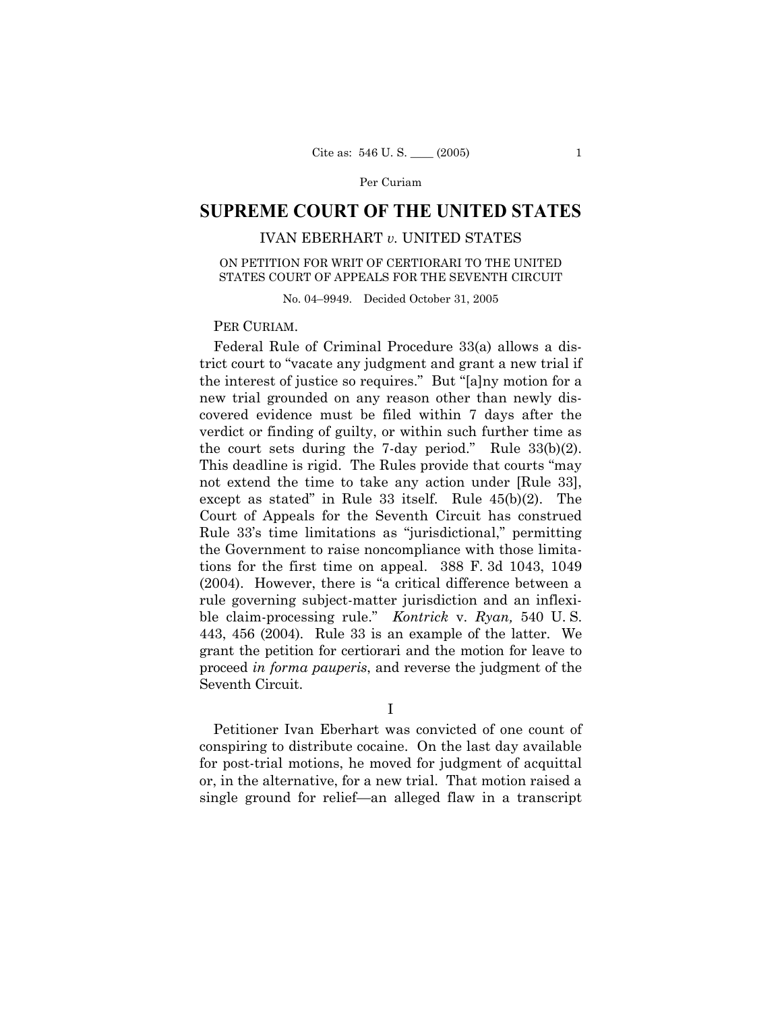# **SUPREME COURT OF THE UNITED STATES**

# IVAN EBERHART *v.* UNITED STATES

## ON PETITION FOR WRIT OF CERTIORARI TO THE UNITED STATES COURT OF APPEALS FOR THE SEVENTH CIRCUIT

No. 04–9949. Decided October 31, 2005

## PER CURIAM.

Federal Rule of Criminal Procedure 33(a) allows a district court to "vacate any judgment and grant a new trial if the interest of justice so requires." But "[a]ny motion for a new trial grounded on any reason other than newly discovered evidence must be filed within 7 days after the verdict or finding of guilty, or within such further time as the court sets during the 7-day period." Rule  $33(b)(2)$ . This deadline is rigid. The Rules provide that courts "may not extend the time to take any action under [Rule 33], except as stated" in Rule 33 itself. Rule 45(b)(2). The Court of Appeals for the Seventh Circuit has construed Rule 33's time limitations as "jurisdictional," permitting the Government to raise noncompliance with those limitations for the first time on appeal. 388 F. 3d 1043, 1049 (2004). However, there is "a critical difference between a rule governing subject-matter jurisdiction and an inflexible claim-processing rule." *Kontrick* v. *Ryan,* 540 U. S. 443, 456 (2004). Rule 33 is an example of the latter. We grant the petition for certiorari and the motion for leave to proceed *in forma pauperis*, and reverse the judgment of the Seventh Circuit.

I

Petitioner Ivan Eberhart was convicted of one count of conspiring to distribute cocaine. On the last day available for post-trial motions, he moved for judgment of acquittal or, in the alternative, for a new trial. That motion raised a single ground for relief—an alleged flaw in a transcript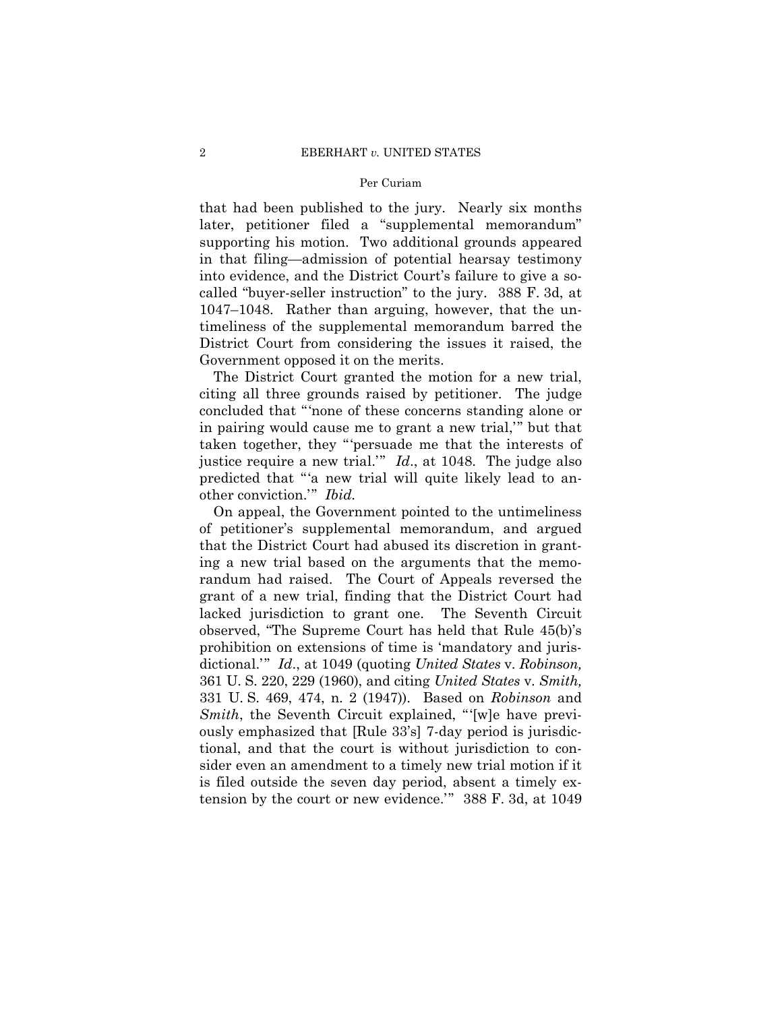that had been published to the jury. Nearly six months later, petitioner filed a "supplemental memorandum" supporting his motion. Two additional grounds appeared in that filing—admission of potential hearsay testimony into evidence, and the District Court's failure to give a socalled "buyer-seller instruction" to the jury. 388 F. 3d, at 1047–1048. Rather than arguing, however, that the untimeliness of the supplemental memorandum barred the District Court from considering the issues it raised, the Government opposed it on the merits.

The District Court granted the motion for a new trial, citing all three grounds raised by petitioner. The judge concluded that "'none of these concerns standing alone or in pairing would cause me to grant a new trial," but that taken together, they "'persuade me that the interests of justice require a new trial."  $Id.$ , at 1048. The judge also predicted that "'a new trial will quite likely lead to another conviction." *Ibid.* 

On appeal, the Government pointed to the untimeliness of petitioner's supplemental memorandum, and argued that the District Court had abused its discretion in granting a new trial based on the arguments that the memorandum had raised. The Court of Appeals reversed the grant of a new trial, finding that the District Court had lacked jurisdiction to grant one. The Seventh Circuit observed, "The Supreme Court has held that Rule 45(b)'s prohibition on extensions of time is 'mandatory and jurisdictional.'" *Id*., at 1049 (quoting *United States* v. *Robinson,*  361 U. S. 220, 229 (1960), and citing *United States* v. *Smith,*  331 U. S. 469, 474, n. 2 (1947)). Based on *Robinson* and *Smith*, the Seventh Circuit explained, "'[w]e have previously emphasized that [Rule 33's] 7-day period is jurisdictional, and that the court is without jurisdiction to consider even an amendment to a timely new trial motion if it is filed outside the seven day period, absent a timely extension by the court or new evidence.'" 388 F. 3d, at 1049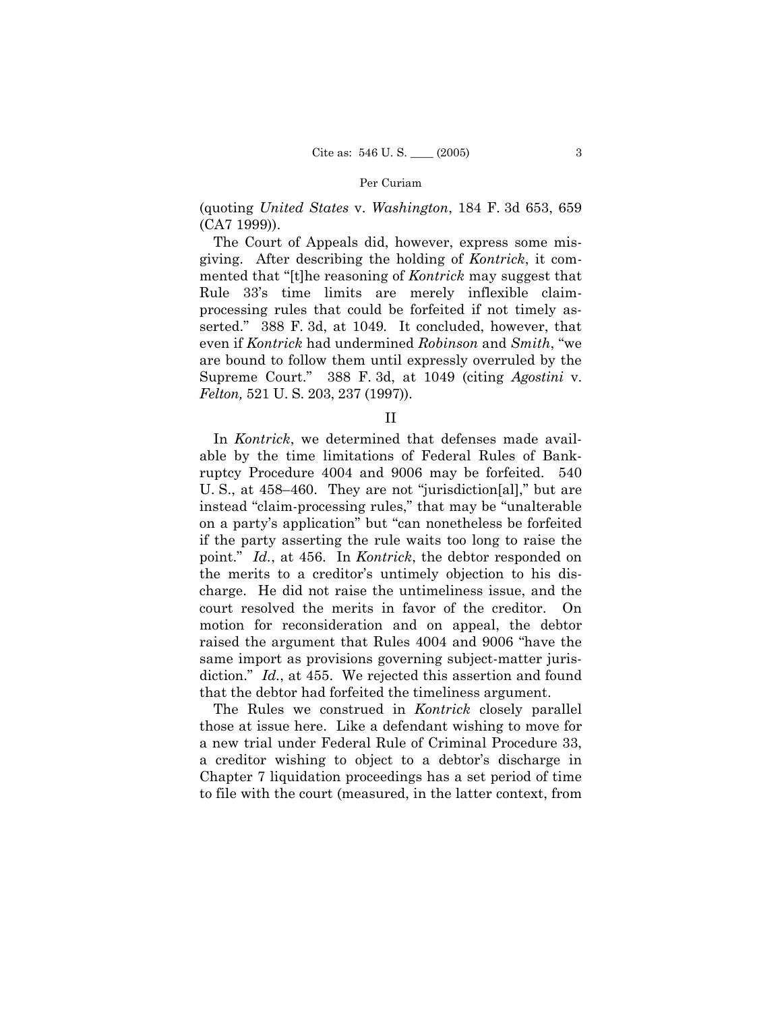(quoting *United States* v. *Washington*, 184 F. 3d 653, 659 (CA7 1999)).

The Court of Appeals did, however, express some misgiving. After describing the holding of *Kontrick*, it commented that "[t]he reasoning of *Kontrick* may suggest that Rule 33's time limits are merely inflexible claimprocessing rules that could be forfeited if not timely asserted." 388 F. 3d, at 1049*.* It concluded, however, that even if *Kontrick* had undermined *Robinson* and *Smith*, "we are bound to follow them until expressly overruled by the Supreme Court." 388 F. 3d, at 1049 (citing *Agostini* v. *Felton,* 521 U. S. 203, 237 (1997)).

II

In *Kontrick*, we determined that defenses made available by the time limitations of Federal Rules of Bankruptcy Procedure 4004 and 9006 may be forfeited. 540 U. S., at 458–460. They are not "jurisdiction[al]," but are instead "claim-processing rules," that may be "unalterable on a party's application" but "can nonetheless be forfeited if the party asserting the rule waits too long to raise the point." *Id.*, at 456. In *Kontrick*, the debtor responded on the merits to a creditor's untimely objection to his discharge. He did not raise the untimeliness issue, and the court resolved the merits in favor of the creditor. On motion for reconsideration and on appeal, the debtor raised the argument that Rules 4004 and 9006 "have the same import as provisions governing subject-matter jurisdiction." *Id.*, at 455. We rejected this assertion and found that the debtor had forfeited the timeliness argument.

The Rules we construed in *Kontrick* closely parallel those at issue here. Like a defendant wishing to move for a new trial under Federal Rule of Criminal Procedure 33, a creditor wishing to object to a debtor's discharge in Chapter 7 liquidation proceedings has a set period of time to file with the court (measured, in the latter context, from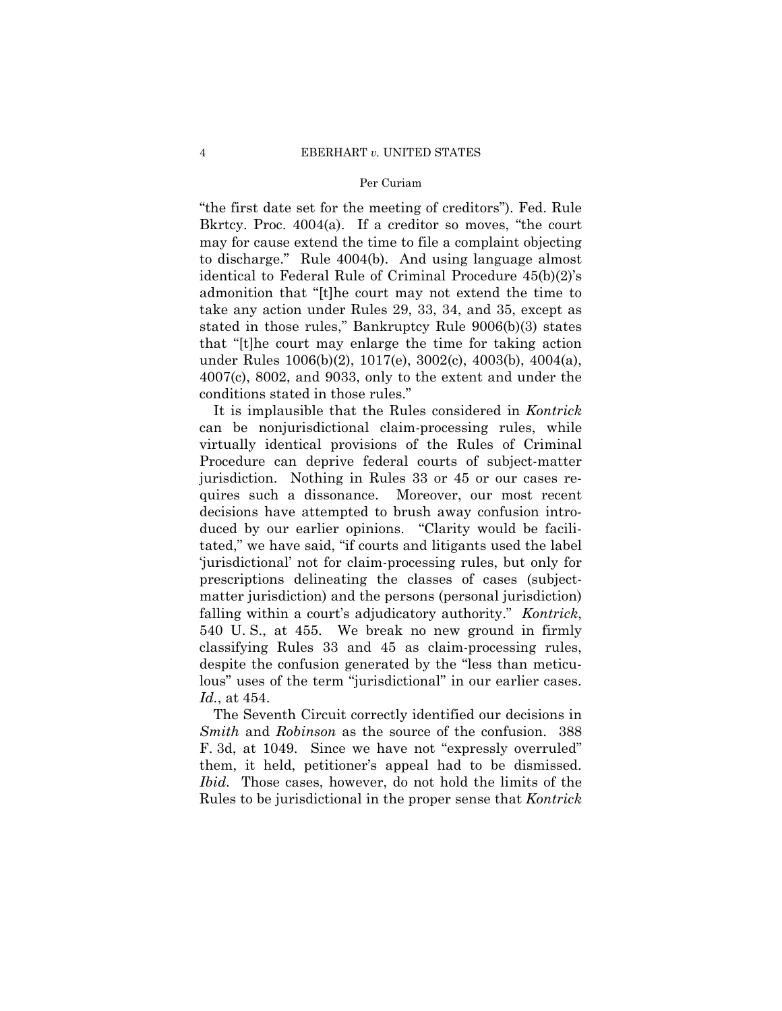"the first date set for the meeting of creditors"). Fed. Rule Bkrtcy. Proc. 4004(a). If a creditor so moves, "the court may for cause extend the time to file a complaint objecting to discharge." Rule 4004(b). And using language almost identical to Federal Rule of Criminal Procedure 45(b)(2)'s admonition that "[t]he court may not extend the time to take any action under Rules 29, 33, 34, and 35, except as stated in those rules," Bankruptcy Rule 9006(b)(3) states that "[t]he court may enlarge the time for taking action under Rules 1006(b)(2), 1017(e), 3002(c), 4003(b), 4004(a), 4007(c), 8002, and 9033, only to the extent and under the conditions stated in those rules."

It is implausible that the Rules considered in *Kontrick*  can be nonjurisdictional claim-processing rules, while virtually identical provisions of the Rules of Criminal Procedure can deprive federal courts of subject-matter jurisdiction. Nothing in Rules 33 or 45 or our cases requires such a dissonance. Moreover, our most recent decisions have attempted to brush away confusion introduced by our earlier opinions. "Clarity would be facilitated," we have said, "if courts and litigants used the label 'jurisdictional' not for claim-processing rules, but only for prescriptions delineating the classes of cases (subjectmatter jurisdiction) and the persons (personal jurisdiction) falling within a court's adjudicatory authority." *Kontrick*, 540 U. S., at 455. We break no new ground in firmly classifying Rules 33 and 45 as claim-processing rules, despite the confusion generated by the "less than meticulous" uses of the term "jurisdictional" in our earlier cases. *Id.*, at 454.

The Seventh Circuit correctly identified our decisions in *Smith* and *Robinson* as the source of the confusion. 388 F. 3d, at 1049. Since we have not "expressly overruled" them, it held, petitioner's appeal had to be dismissed. *Ibid.* Those cases, however, do not hold the limits of the Rules to be jurisdictional in the proper sense that *Kontrick*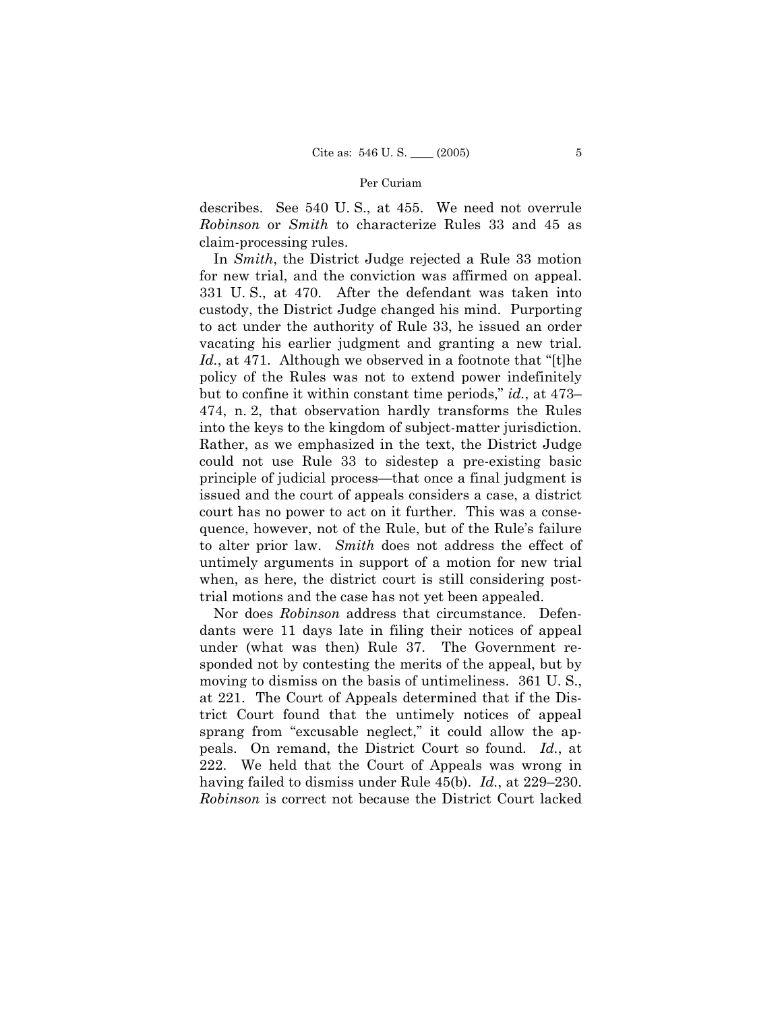describes. See 540 U. S., at 455. We need not overrule *Robinson* or *Smith* to characterize Rules 33 and 45 as claim-processing rules.

In *Smith*, the District Judge rejected a Rule 33 motion for new trial, and the conviction was affirmed on appeal. 331 U. S., at 470. After the defendant was taken into custody, the District Judge changed his mind. Purporting to act under the authority of Rule 33, he issued an order vacating his earlier judgment and granting a new trial. *Id.*, at 471. Although we observed in a footnote that "[t]he policy of the Rules was not to extend power indefinitely but to confine it within constant time periods," *id.*, at 473– 474, n. 2, that observation hardly transforms the Rules into the keys to the kingdom of subject-matter jurisdiction. Rather, as we emphasized in the text, the District Judge could not use Rule 33 to sidestep a pre-existing basic principle of judicial process—that once a final judgment is issued and the court of appeals considers a case, a district court has no power to act on it further. This was a consequence, however, not of the Rule, but of the Rule's failure to alter prior law. *Smith* does not address the effect of untimely arguments in support of a motion for new trial when, as here, the district court is still considering posttrial motions and the case has not yet been appealed.

 Nor does *Robinson* address that circumstance. Defendants were 11 days late in filing their notices of appeal under (what was then) Rule 37. The Government responded not by contesting the merits of the appeal, but by moving to dismiss on the basis of untimeliness. 361 U. S., at 221. The Court of Appeals determined that if the District Court found that the untimely notices of appeal sprang from "excusable neglect," it could allow the appeals. On remand, the District Court so found. *Id.*, at 222. We held that the Court of Appeals was wrong in having failed to dismiss under Rule 45(b). *Id.*, at 229–230. *Robinson* is correct not because the District Court lacked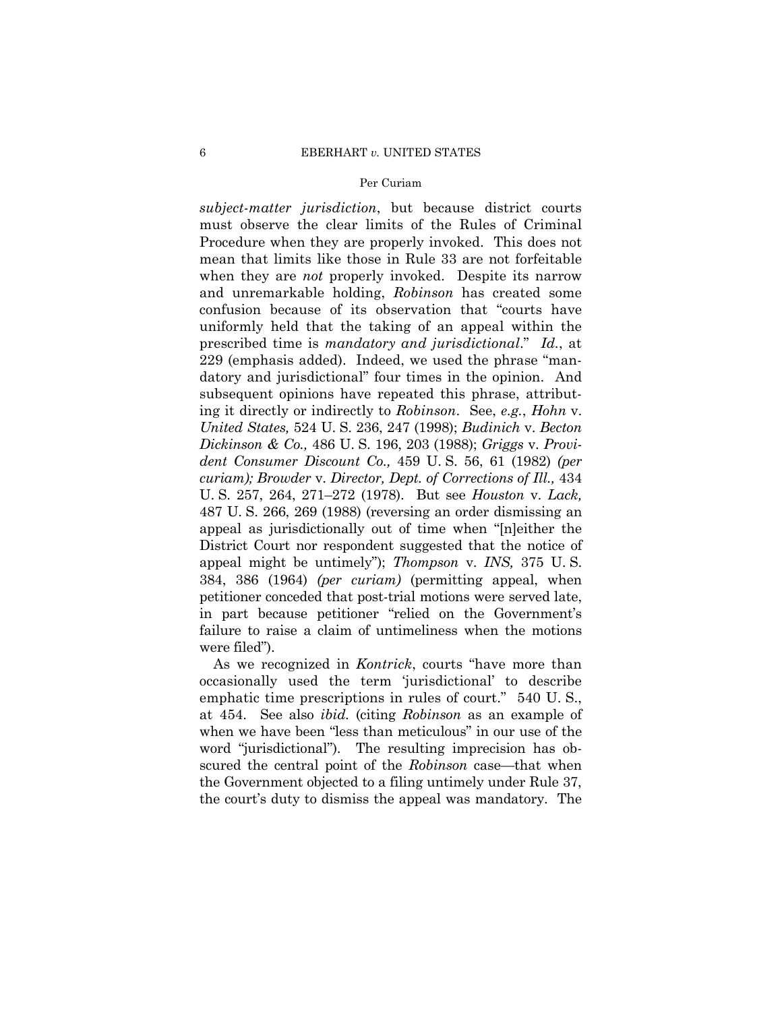*subject-matter jurisdiction*, but because district courts must observe the clear limits of the Rules of Criminal Procedure when they are properly invoked. This does not mean that limits like those in Rule 33 are not forfeitable when they are *not* properly invoked. Despite its narrow and unremarkable holding, *Robinson* has created some confusion because of its observation that "courts have uniformly held that the taking of an appeal within the prescribed time is *mandatory and jurisdictional*." *Id.*, at 229 (emphasis added). Indeed, we used the phrase "mandatory and jurisdictional" four times in the opinion. And subsequent opinions have repeated this phrase, attributing it directly or indirectly to *Robinson*. See, *e.g.*, *Hohn* v. *United States,* 524 U. S. 236, 247 (1998); *Budinich* v. *Becton Dickinson & Co.,* 486 U. S. 196, 203 (1988); *Griggs* v. *Provident Consumer Discount Co.,* 459 U. S. 56, 61 (1982) *(per curiam); Browder* v. *Director, Dept. of Corrections of Ill.,* 434 U. S. 257, 264, 271–272 (1978). But see *Houston* v. *Lack,*  487 U. S. 266, 269 (1988) (reversing an order dismissing an appeal as jurisdictionally out of time when "[n]either the District Court nor respondent suggested that the notice of appeal might be untimely"); *Thompson* v. *INS,* 375 U. S. 384, 386 (1964) *(per curiam)* (permitting appeal, when petitioner conceded that post-trial motions were served late, in part because petitioner "relied on the Government's failure to raise a claim of untimeliness when the motions were filed").

As we recognized in *Kontrick*, courts "have more than occasionally used the term 'jurisdictional' to describe emphatic time prescriptions in rules of court." 540 U. S., at 454. See also *ibid.* (citing *Robinson* as an example of when we have been "less than meticulous" in our use of the word "jurisdictional"). The resulting imprecision has obscured the central point of the *Robinson* case—that when the Government objected to a filing untimely under Rule 37, the court's duty to dismiss the appeal was mandatory. The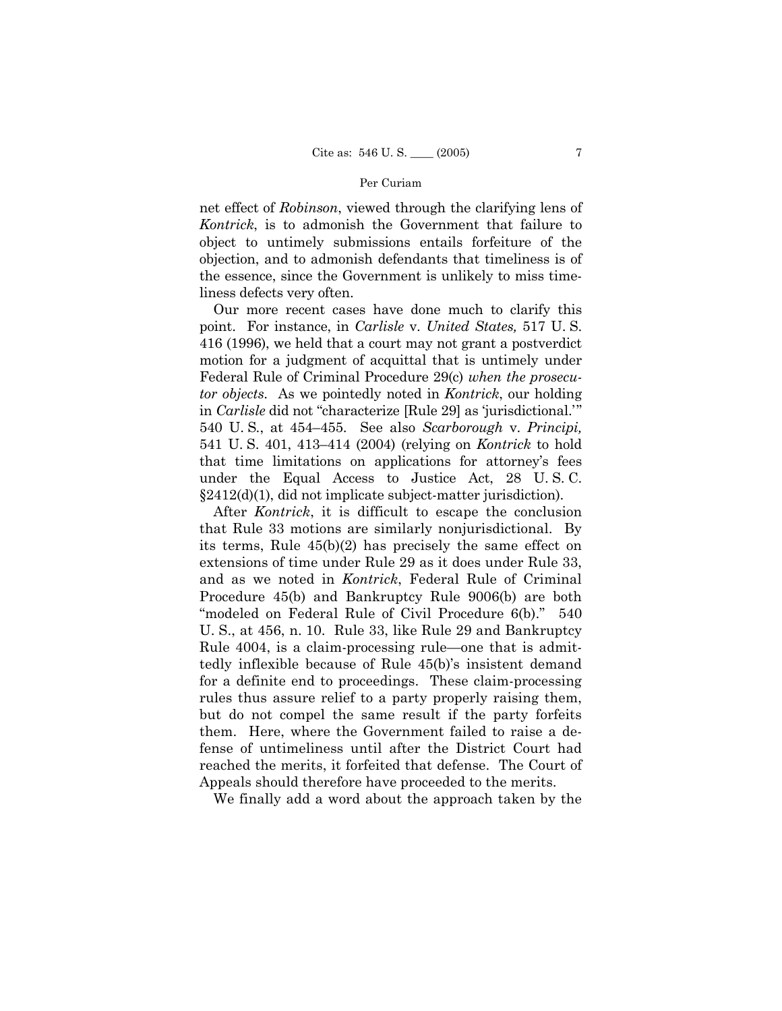net effect of *Robinson*, viewed through the clarifying lens of *Kontrick*, is to admonish the Government that failure to object to untimely submissions entails forfeiture of the objection, and to admonish defendants that timeliness is of the essence, since the Government is unlikely to miss timeliness defects very often.

Our more recent cases have done much to clarify this point. For instance, in *Carlisle* v. *United States,* 517 U. S. 416 (1996), we held that a court may not grant a postverdict motion for a judgment of acquittal that is untimely under Federal Rule of Criminal Procedure 29(c) *when the prosecutor objects*. As we pointedly noted in *Kontrick*, our holding in *Carlisle* did not "characterize [Rule 29] as 'jurisdictional.' " 540 U. S*.*, at 454–455. See also *Scarborough* v. *Principi,*  541 U. S. 401, 413–414 (2004) (relying on *Kontrick* to hold that time limitations on applications for attorney's fees under the Equal Access to Justice Act, 28 U. S. C. §2412(d)(1), did not implicate subject-matter jurisdiction).

After *Kontrick*, it is difficult to escape the conclusion that Rule 33 motions are similarly nonjurisdictional. By its terms, Rule 45(b)(2) has precisely the same effect on extensions of time under Rule 29 as it does under Rule 33, and as we noted in *Kontrick*, Federal Rule of Criminal Procedure 45(b) and Bankruptcy Rule 9006(b) are both "modeled on Federal Rule of Civil Procedure 6(b)." 540 U. S., at 456, n. 10. Rule 33, like Rule 29 and Bankruptcy Rule 4004, is a claim-processing rule—one that is admittedly inflexible because of Rule 45(b)'s insistent demand for a definite end to proceedings. These claim-processing rules thus assure relief to a party properly raising them, but do not compel the same result if the party forfeits them. Here, where the Government failed to raise a defense of untimeliness until after the District Court had reached the merits, it forfeited that defense. The Court of Appeals should therefore have proceeded to the merits.

We finally add a word about the approach taken by the